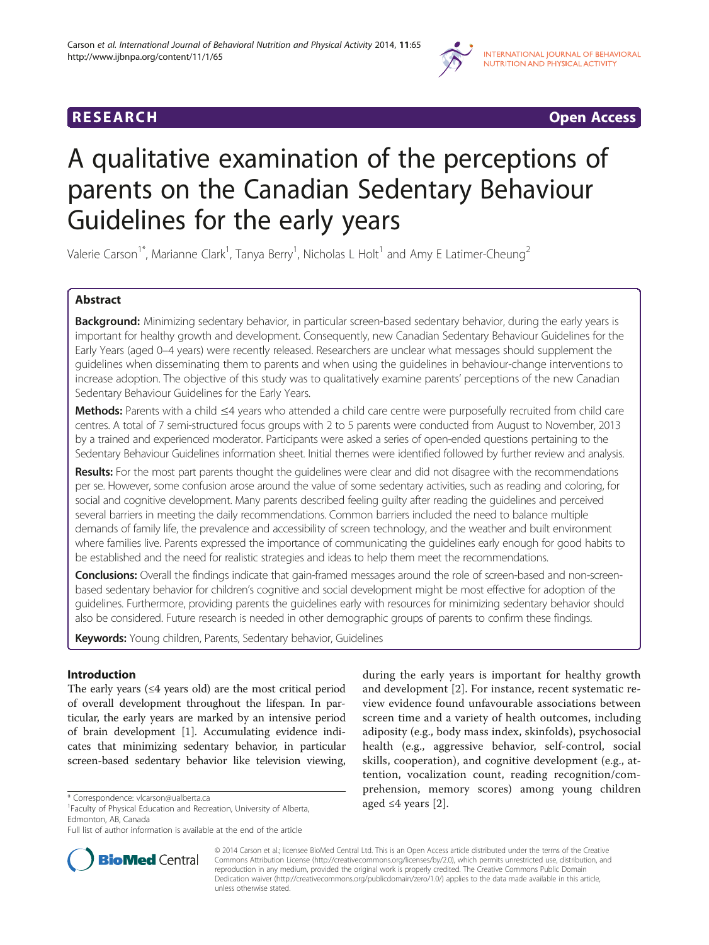



# A qualitative examination of the perceptions of parents on the Canadian Sedentary Behaviour Guidelines for the early years

Valerie Carson $^{1*}$ , Marianne Clark $^{1}$ , Tanya Berry $^{1}$ , Nicholas L Holt $^{1}$  and Amy E Latimer-Cheung $^{2}$ 

# Abstract

Background: Minimizing sedentary behavior, in particular screen-based sedentary behavior, during the early years is important for healthy growth and development. Consequently, new Canadian Sedentary Behaviour Guidelines for the Early Years (aged 0–4 years) were recently released. Researchers are unclear what messages should supplement the guidelines when disseminating them to parents and when using the guidelines in behaviour-change interventions to increase adoption. The objective of this study was to qualitatively examine parents' perceptions of the new Canadian Sedentary Behaviour Guidelines for the Early Years.

Methods: Parents with a child ≤4 years who attended a child care centre were purposefully recruited from child care centres. A total of 7 semi-structured focus groups with 2 to 5 parents were conducted from August to November, 2013 by a trained and experienced moderator. Participants were asked a series of open-ended questions pertaining to the Sedentary Behaviour Guidelines information sheet. Initial themes were identified followed by further review and analysis.

Results: For the most part parents thought the quidelines were clear and did not disagree with the recommendations per se. However, some confusion arose around the value of some sedentary activities, such as reading and coloring, for social and cognitive development. Many parents described feeling guilty after reading the guidelines and perceived several barriers in meeting the daily recommendations. Common barriers included the need to balance multiple demands of family life, the prevalence and accessibility of screen technology, and the weather and built environment where families live. Parents expressed the importance of communicating the guidelines early enough for good habits to be established and the need for realistic strategies and ideas to help them meet the recommendations.

Conclusions: Overall the findings indicate that gain-framed messages around the role of screen-based and non-screenbased sedentary behavior for children's cognitive and social development might be most effective for adoption of the guidelines. Furthermore, providing parents the guidelines early with resources for minimizing sedentary behavior should also be considered. Future research is needed in other demographic groups of parents to confirm these findings.

Keywords: Young children, Parents, Sedentary behavior, Guidelines

# Introduction

The early years  $(\leq 4$  years old) are the most critical period of overall development throughout the lifespan. In particular, the early years are marked by an intensive period of brain development [[1](#page-6-0)]. Accumulating evidence indicates that minimizing sedentary behavior, in particular screen-based sedentary behavior like television viewing,

Full list of author information is available at the end of the article





© 2014 Carson et al.; licensee BioMed Central Ltd. This is an Open Access article distributed under the terms of the Creative Commons Attribution License [\(http://creativecommons.org/licenses/by/2.0\)](http://creativecommons.org/licenses/by/2.0), which permits unrestricted use, distribution, and reproduction in any medium, provided the original work is properly credited. The Creative Commons Public Domain Dedication waiver [\(http://creativecommons.org/publicdomain/zero/1.0/](http://creativecommons.org/publicdomain/zero/1.0/)) applies to the data made available in this article, unless otherwise stated.

<sup>\*</sup> Correspondence: [vlcarson@ualberta.ca](mailto:vlcarson@ualberta.ca) 1 and 1 correspondence: vlcars (2).<br><sup>1</sup> Faculty of Physical Education and Recreation, University of Alberta, 1 and 24 years (2). Edmonton, AB, Canada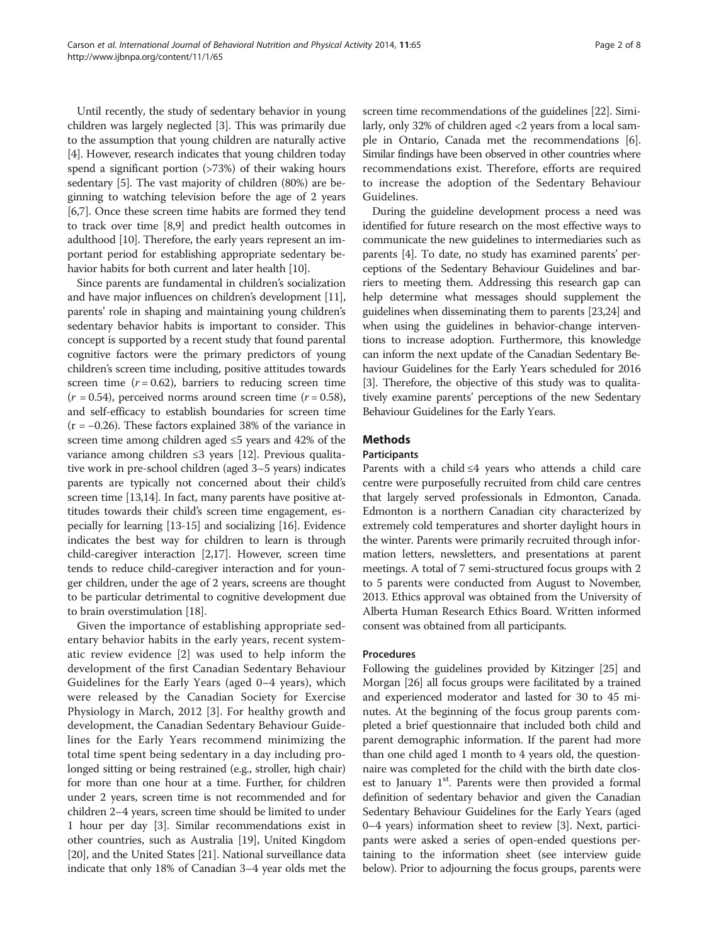Until recently, the study of sedentary behavior in young children was largely neglected [\[3\]](#page-6-0). This was primarily due to the assumption that young children are naturally active [[4\]](#page-6-0). However, research indicates that young children today spend a significant portion (>73%) of their waking hours sedentary [\[5\]](#page-6-0). The vast majority of children (80%) are beginning to watching television before the age of 2 years [[6,7](#page-6-0)]. Once these screen time habits are formed they tend to track over time [\[8,9](#page-6-0)] and predict health outcomes in adulthood [\[10\]](#page-6-0). Therefore, the early years represent an important period for establishing appropriate sedentary behavior habits for both current and later health [[10](#page-6-0)].

Since parents are fundamental in children's socialization and have major influences on children's development [[11](#page-6-0)], parents' role in shaping and maintaining young children's sedentary behavior habits is important to consider. This concept is supported by a recent study that found parental cognitive factors were the primary predictors of young children's screen time including, positive attitudes towards screen time  $(r = 0.62)$ , barriers to reducing screen time  $(r = 0.54)$ , perceived norms around screen time  $(r = 0.58)$ , and self-efficacy to establish boundaries for screen time  $(r = -0.26)$ . These factors explained 38% of the variance in screen time among children aged ≤5 years and 42% of the variance among children ≤3 years [\[12\]](#page-6-0). Previous qualitative work in pre-school children (aged 3–5 years) indicates parents are typically not concerned about their child's screen time [[13,14](#page-6-0)]. In fact, many parents have positive attitudes towards their child's screen time engagement, especially for learning [[13](#page-6-0)-[15](#page-6-0)] and socializing [\[16\]](#page-6-0). Evidence indicates the best way for children to learn is through child-caregiver interaction [\[2,17\]](#page-6-0). However, screen time tends to reduce child-caregiver interaction and for younger children, under the age of 2 years, screens are thought to be particular detrimental to cognitive development due to brain overstimulation [[18](#page-6-0)].

Given the importance of establishing appropriate sedentary behavior habits in the early years, recent systematic review evidence [[2\]](#page-6-0) was used to help inform the development of the first Canadian Sedentary Behaviour Guidelines for the Early Years (aged 0–4 years), which were released by the Canadian Society for Exercise Physiology in March, 2012 [[3\]](#page-6-0). For healthy growth and development, the Canadian Sedentary Behaviour Guidelines for the Early Years recommend minimizing the total time spent being sedentary in a day including prolonged sitting or being restrained (e.g., stroller, high chair) for more than one hour at a time. Further, for children under 2 years, screen time is not recommended and for children 2–4 years, screen time should be limited to under 1 hour per day [\[3](#page-6-0)]. Similar recommendations exist in other countries, such as Australia [\[19\]](#page-6-0), United Kingdom [[20](#page-7-0)], and the United States [\[21\]](#page-7-0). National surveillance data indicate that only 18% of Canadian 3–4 year olds met the

screen time recommendations of the guidelines [[22](#page-7-0)]. Similarly, only 32% of children aged <2 years from a local sample in Ontario, Canada met the recommendations [[6](#page-6-0)]. Similar findings have been observed in other countries where recommendations exist. Therefore, efforts are required to increase the adoption of the Sedentary Behaviour Guidelines.

During the guideline development process a need was identified for future research on the most effective ways to communicate the new guidelines to intermediaries such as parents [\[4](#page-6-0)]. To date, no study has examined parents' perceptions of the Sedentary Behaviour Guidelines and barriers to meeting them. Addressing this research gap can help determine what messages should supplement the guidelines when disseminating them to parents [\[23,24](#page-7-0)] and when using the guidelines in behavior-change interventions to increase adoption. Furthermore, this knowledge can inform the next update of the Canadian Sedentary Behaviour Guidelines for the Early Years scheduled for 2016 [[3](#page-6-0)]. Therefore, the objective of this study was to qualitatively examine parents' perceptions of the new Sedentary Behaviour Guidelines for the Early Years.

# Methods

# Participants

Parents with a child ≤4 years who attends a child care centre were purposefully recruited from child care centres that largely served professionals in Edmonton, Canada. Edmonton is a northern Canadian city characterized by extremely cold temperatures and shorter daylight hours in the winter. Parents were primarily recruited through information letters, newsletters, and presentations at parent meetings. A total of 7 semi-structured focus groups with 2 to 5 parents were conducted from August to November, 2013. Ethics approval was obtained from the University of Alberta Human Research Ethics Board. Written informed consent was obtained from all participants.

# Procedures

Following the guidelines provided by Kitzinger [[25](#page-7-0)] and Morgan [[26\]](#page-7-0) all focus groups were facilitated by a trained and experienced moderator and lasted for 30 to 45 minutes. At the beginning of the focus group parents completed a brief questionnaire that included both child and parent demographic information. If the parent had more than one child aged 1 month to 4 years old, the questionnaire was completed for the child with the birth date closest to January  $1<sup>st</sup>$ . Parents were then provided a formal definition of sedentary behavior and given the Canadian Sedentary Behaviour Guidelines for the Early Years (aged 0–4 years) information sheet to review [[3\]](#page-6-0). Next, participants were asked a series of open-ended questions pertaining to the information sheet (see [interview guide](#page-2-0) below). Prior to adjourning the focus groups, parents were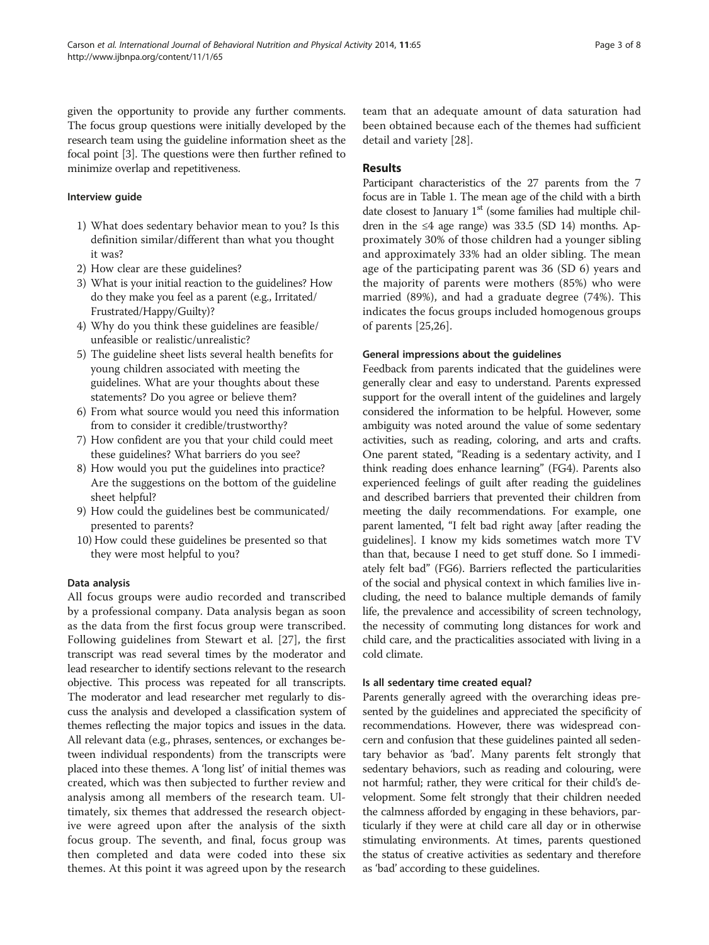<span id="page-2-0"></span>given the opportunity to provide any further comments. The focus group questions were initially developed by the research team using the guideline information sheet as the focal point [[3](#page-6-0)]. The questions were then further refined to minimize overlap and repetitiveness.

# Interview guide

- 1) What does sedentary behavior mean to you? Is this definition similar/different than what you thought it was?
- 2) How clear are these guidelines?
- 3) What is your initial reaction to the guidelines? How do they make you feel as a parent (e.g., Irritated/ Frustrated/Happy/Guilty)?
- 4) Why do you think these guidelines are feasible/ unfeasible or realistic/unrealistic?
- 5) The guideline sheet lists several health benefits for young children associated with meeting the guidelines. What are your thoughts about these statements? Do you agree or believe them?
- 6) From what source would you need this information from to consider it credible/trustworthy?
- 7) How confident are you that your child could meet these guidelines? What barriers do you see?
- 8) How would you put the guidelines into practice? Are the suggestions on the bottom of the guideline sheet helpful?
- 9) How could the guidelines best be communicated/ presented to parents?
- 10) How could these guidelines be presented so that they were most helpful to you?

# Data analysis

All focus groups were audio recorded and transcribed by a professional company. Data analysis began as soon as the data from the first focus group were transcribed. Following guidelines from Stewart et al. [[27\]](#page-7-0), the first transcript was read several times by the moderator and lead researcher to identify sections relevant to the research objective. This process was repeated for all transcripts. The moderator and lead researcher met regularly to discuss the analysis and developed a classification system of themes reflecting the major topics and issues in the data. All relevant data (e.g., phrases, sentences, or exchanges between individual respondents) from the transcripts were placed into these themes. A 'long list' of initial themes was created, which was then subjected to further review and analysis among all members of the research team. Ultimately, six themes that addressed the research objective were agreed upon after the analysis of the sixth focus group. The seventh, and final, focus group was then completed and data were coded into these six themes. At this point it was agreed upon by the research

team that an adequate amount of data saturation had been obtained because each of the themes had sufficient detail and variety [[28](#page-7-0)].

# Results

Participant characteristics of the 27 parents from the 7 focus are in Table [1.](#page-3-0) The mean age of the child with a birth date closest to January  $1<sup>st</sup>$  (some families had multiple children in the ≤4 age range) was 33.5 (SD 14) months. Approximately 30% of those children had a younger sibling and approximately 33% had an older sibling. The mean age of the participating parent was 36 (SD 6) years and the majority of parents were mothers (85%) who were married (89%), and had a graduate degree (74%). This indicates the focus groups included homogenous groups of parents [\[25](#page-7-0),[26\]](#page-7-0).

# General impressions about the guidelines

Feedback from parents indicated that the guidelines were generally clear and easy to understand. Parents expressed support for the overall intent of the guidelines and largely considered the information to be helpful. However, some ambiguity was noted around the value of some sedentary activities, such as reading, coloring, and arts and crafts. One parent stated, "Reading is a sedentary activity, and I think reading does enhance learning" (FG4). Parents also experienced feelings of guilt after reading the guidelines and described barriers that prevented their children from meeting the daily recommendations. For example, one parent lamented, "I felt bad right away [after reading the guidelines]. I know my kids sometimes watch more TV than that, because I need to get stuff done. So I immediately felt bad" (FG6). Barriers reflected the particularities of the social and physical context in which families live including, the need to balance multiple demands of family life, the prevalence and accessibility of screen technology, the necessity of commuting long distances for work and child care, and the practicalities associated with living in a cold climate.

# Is all sedentary time created equal?

Parents generally agreed with the overarching ideas presented by the guidelines and appreciated the specificity of recommendations. However, there was widespread concern and confusion that these guidelines painted all sedentary behavior as 'bad'. Many parents felt strongly that sedentary behaviors, such as reading and colouring, were not harmful; rather, they were critical for their child's development. Some felt strongly that their children needed the calmness afforded by engaging in these behaviors, particularly if they were at child care all day or in otherwise stimulating environments. At times, parents questioned the status of creative activities as sedentary and therefore as 'bad' according to these guidelines.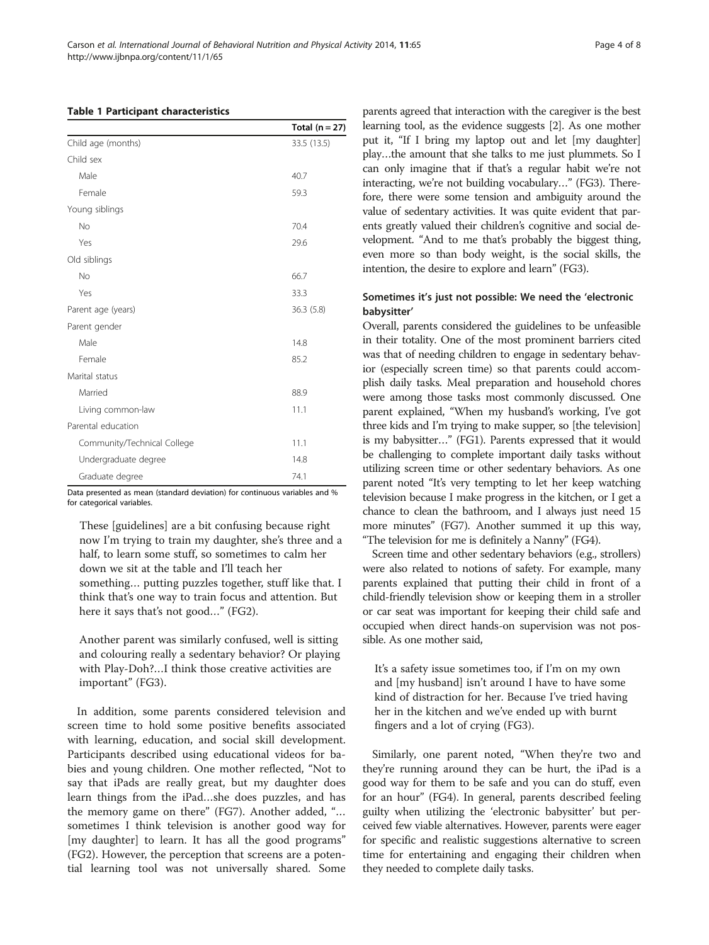#### <span id="page-3-0"></span>Table 1 Participant characteristics

|                             | Total $(n = 27)$ |
|-----------------------------|------------------|
| Child age (months)          | 33.5 (13.5)      |
| Child sex                   |                  |
| Male                        | 40.7             |
| Female                      | 59.3             |
| Young siblings              |                  |
| <b>No</b>                   | 70.4             |
| Yes                         | 29.6             |
| Old siblings                |                  |
| No                          | 66.7             |
| Yes                         | 33.3             |
| Parent age (years)          | 36.3(5.8)        |
| Parent gender               |                  |
| Male                        | 14.8             |
| Female                      | 85.2             |
| Marital status              |                  |
| Married                     | 88.9             |
| Living common-law           | 11.1             |
| Parental education          |                  |
| Community/Technical College | 11.1             |
| Undergraduate degree        | 14.8             |
| Graduate degree             | 74.1             |

Data presented as mean (standard deviation) for continuous variables and % for categorical variables.

These [guidelines] are a bit confusing because right now I'm trying to train my daughter, she's three and a half, to learn some stuff, so sometimes to calm her down we sit at the table and I'll teach her something… putting puzzles together, stuff like that. I think that's one way to train focus and attention. But here it says that's not good…" (FG2).

Another parent was similarly confused, well is sitting and colouring really a sedentary behavior? Or playing with Play-Doh?…I think those creative activities are important" (FG3).

In addition, some parents considered television and screen time to hold some positive benefits associated with learning, education, and social skill development. Participants described using educational videos for babies and young children. One mother reflected, "Not to say that iPads are really great, but my daughter does learn things from the iPad…she does puzzles, and has the memory game on there" (FG7). Another added, "… sometimes I think television is another good way for [my daughter] to learn. It has all the good programs" (FG2). However, the perception that screens are a potential learning tool was not universally shared. Some

parents agreed that interaction with the caregiver is the best learning tool, as the evidence suggests [\[2](#page-6-0)]. As one mother put it, "If I bring my laptop out and let [my daughter] play…the amount that she talks to me just plummets. So I can only imagine that if that's a regular habit we're not interacting, we're not building vocabulary…" (FG3). Therefore, there were some tension and ambiguity around the value of sedentary activities. It was quite evident that parents greatly valued their children's cognitive and social development. "And to me that's probably the biggest thing, even more so than body weight, is the social skills, the intention, the desire to explore and learn" (FG3).

# Sometimes it's just not possible: We need the 'electronic babysitter'

Overall, parents considered the guidelines to be unfeasible in their totality. One of the most prominent barriers cited was that of needing children to engage in sedentary behavior (especially screen time) so that parents could accomplish daily tasks. Meal preparation and household chores were among those tasks most commonly discussed. One parent explained, "When my husband's working, I've got three kids and I'm trying to make supper, so [the television] is my babysitter…" (FG1). Parents expressed that it would be challenging to complete important daily tasks without utilizing screen time or other sedentary behaviors. As one parent noted "It's very tempting to let her keep watching television because I make progress in the kitchen, or I get a chance to clean the bathroom, and I always just need 15 more minutes" (FG7). Another summed it up this way, "The television for me is definitely a Nanny" (FG4).

Screen time and other sedentary behaviors (e.g., strollers) were also related to notions of safety. For example, many parents explained that putting their child in front of a child-friendly television show or keeping them in a stroller or car seat was important for keeping their child safe and occupied when direct hands-on supervision was not possible. As one mother said,

It's a safety issue sometimes too, if I'm on my own and [my husband] isn't around I have to have some kind of distraction for her. Because I've tried having her in the kitchen and we've ended up with burnt fingers and a lot of crying (FG3).

Similarly, one parent noted, "When they're two and they're running around they can be hurt, the iPad is a good way for them to be safe and you can do stuff, even for an hour" (FG4). In general, parents described feeling guilty when utilizing the 'electronic babysitter' but perceived few viable alternatives. However, parents were eager for specific and realistic suggestions alternative to screen time for entertaining and engaging their children when they needed to complete daily tasks.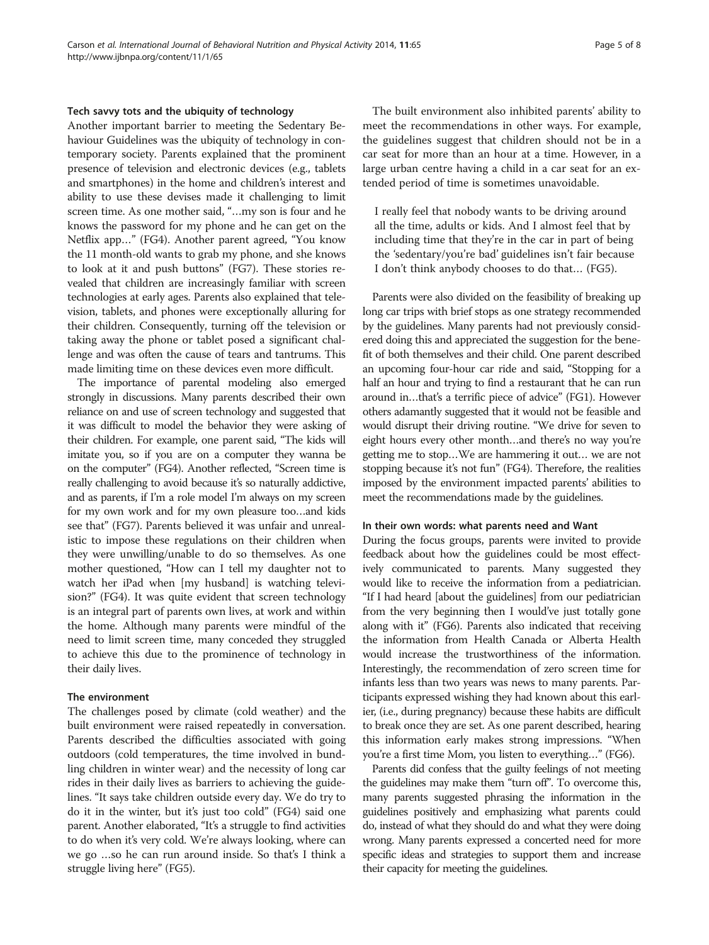### Tech savvy tots and the ubiquity of technology

Another important barrier to meeting the Sedentary Behaviour Guidelines was the ubiquity of technology in contemporary society. Parents explained that the prominent presence of television and electronic devices (e.g., tablets and smartphones) in the home and children's interest and ability to use these devises made it challenging to limit screen time. As one mother said, "…my son is four and he knows the password for my phone and he can get on the Netflix app…" (FG4). Another parent agreed, "You know the 11 month-old wants to grab my phone, and she knows to look at it and push buttons" (FG7). These stories revealed that children are increasingly familiar with screen technologies at early ages. Parents also explained that television, tablets, and phones were exceptionally alluring for their children. Consequently, turning off the television or taking away the phone or tablet posed a significant challenge and was often the cause of tears and tantrums. This made limiting time on these devices even more difficult.

The importance of parental modeling also emerged strongly in discussions. Many parents described their own reliance on and use of screen technology and suggested that it was difficult to model the behavior they were asking of their children. For example, one parent said, "The kids will imitate you, so if you are on a computer they wanna be on the computer" (FG4). Another reflected, "Screen time is really challenging to avoid because it's so naturally addictive, and as parents, if I'm a role model I'm always on my screen for my own work and for my own pleasure too…and kids see that" (FG7). Parents believed it was unfair and unrealistic to impose these regulations on their children when they were unwilling/unable to do so themselves. As one mother questioned, "How can I tell my daughter not to watch her iPad when [my husband] is watching television?" (FG4). It was quite evident that screen technology is an integral part of parents own lives, at work and within the home. Although many parents were mindful of the need to limit screen time, many conceded they struggled to achieve this due to the prominence of technology in their daily lives.

### The environment

The challenges posed by climate (cold weather) and the built environment were raised repeatedly in conversation. Parents described the difficulties associated with going outdoors (cold temperatures, the time involved in bundling children in winter wear) and the necessity of long car rides in their daily lives as barriers to achieving the guidelines. "It says take children outside every day. We do try to do it in the winter, but it's just too cold" (FG4) said one parent. Another elaborated, "It's a struggle to find activities to do when it's very cold. We're always looking, where can we go …so he can run around inside. So that's I think a struggle living here" (FG5).

The built environment also inhibited parents' ability to meet the recommendations in other ways. For example, the guidelines suggest that children should not be in a car seat for more than an hour at a time. However, in a large urban centre having a child in a car seat for an extended period of time is sometimes unavoidable.

I really feel that nobody wants to be driving around all the time, adults or kids. And I almost feel that by including time that they're in the car in part of being the 'sedentary/you're bad' guidelines isn't fair because I don't think anybody chooses to do that… (FG5).

Parents were also divided on the feasibility of breaking up long car trips with brief stops as one strategy recommended by the guidelines. Many parents had not previously considered doing this and appreciated the suggestion for the benefit of both themselves and their child. One parent described an upcoming four-hour car ride and said, "Stopping for a half an hour and trying to find a restaurant that he can run around in…that's a terrific piece of advice" (FG1). However others adamantly suggested that it would not be feasible and would disrupt their driving routine. "We drive for seven to eight hours every other month…and there's no way you're getting me to stop…We are hammering it out… we are not stopping because it's not fun" (FG4). Therefore, the realities imposed by the environment impacted parents' abilities to meet the recommendations made by the guidelines.

### In their own words: what parents need and Want

During the focus groups, parents were invited to provide feedback about how the guidelines could be most effectively communicated to parents. Many suggested they would like to receive the information from a pediatrician. "If I had heard [about the guidelines] from our pediatrician from the very beginning then I would've just totally gone along with it" (FG6). Parents also indicated that receiving the information from Health Canada or Alberta Health would increase the trustworthiness of the information. Interestingly, the recommendation of zero screen time for infants less than two years was news to many parents. Participants expressed wishing they had known about this earlier, (i.e., during pregnancy) because these habits are difficult to break once they are set. As one parent described, hearing this information early makes strong impressions. "When you're a first time Mom, you listen to everything…" (FG6).

Parents did confess that the guilty feelings of not meeting the guidelines may make them "turn off". To overcome this, many parents suggested phrasing the information in the guidelines positively and emphasizing what parents could do, instead of what they should do and what they were doing wrong. Many parents expressed a concerted need for more specific ideas and strategies to support them and increase their capacity for meeting the guidelines.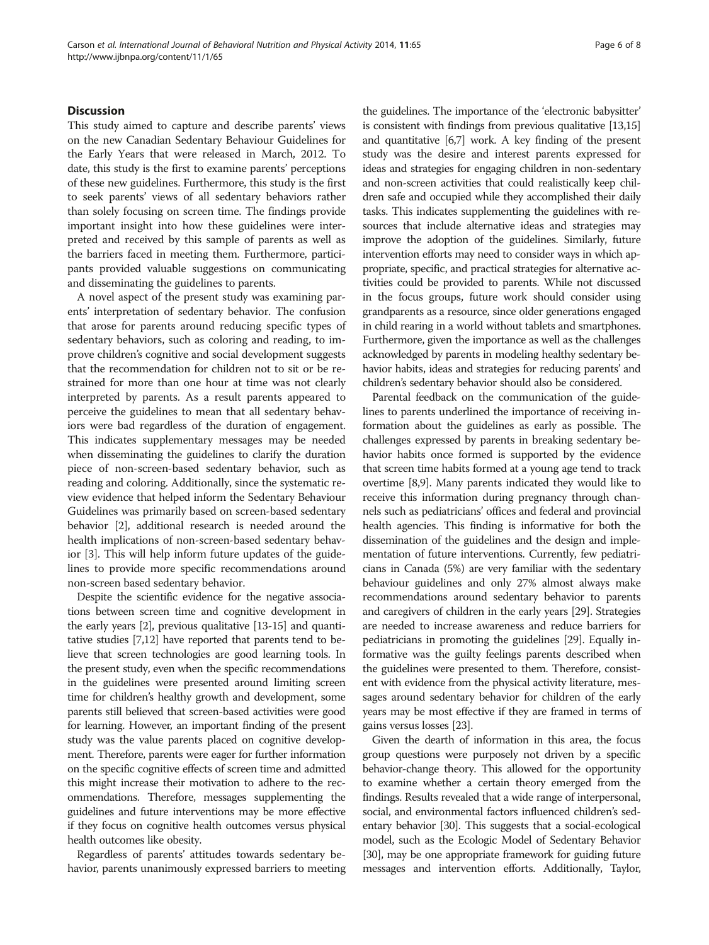# **Discussion**

This study aimed to capture and describe parents' views on the new Canadian Sedentary Behaviour Guidelines for the Early Years that were released in March, 2012. To date, this study is the first to examine parents' perceptions of these new guidelines. Furthermore, this study is the first to seek parents' views of all sedentary behaviors rather than solely focusing on screen time. The findings provide important insight into how these guidelines were interpreted and received by this sample of parents as well as the barriers faced in meeting them. Furthermore, participants provided valuable suggestions on communicating and disseminating the guidelines to parents.

A novel aspect of the present study was examining parents' interpretation of sedentary behavior. The confusion that arose for parents around reducing specific types of sedentary behaviors, such as coloring and reading, to improve children's cognitive and social development suggests that the recommendation for children not to sit or be restrained for more than one hour at time was not clearly interpreted by parents. As a result parents appeared to perceive the guidelines to mean that all sedentary behaviors were bad regardless of the duration of engagement. This indicates supplementary messages may be needed when disseminating the guidelines to clarify the duration piece of non-screen-based sedentary behavior, such as reading and coloring. Additionally, since the systematic review evidence that helped inform the Sedentary Behaviour Guidelines was primarily based on screen-based sedentary behavior [\[2](#page-6-0)], additional research is needed around the health implications of non-screen-based sedentary behavior [\[3\]](#page-6-0). This will help inform future updates of the guidelines to provide more specific recommendations around non-screen based sedentary behavior.

Despite the scientific evidence for the negative associations between screen time and cognitive development in the early years [\[2\]](#page-6-0), previous qualitative [[13](#page-6-0)-[15](#page-6-0)] and quantitative studies [\[7,12\]](#page-6-0) have reported that parents tend to believe that screen technologies are good learning tools. In the present study, even when the specific recommendations in the guidelines were presented around limiting screen time for children's healthy growth and development, some parents still believed that screen-based activities were good for learning. However, an important finding of the present study was the value parents placed on cognitive development. Therefore, parents were eager for further information on the specific cognitive effects of screen time and admitted this might increase their motivation to adhere to the recommendations. Therefore, messages supplementing the guidelines and future interventions may be more effective if they focus on cognitive health outcomes versus physical health outcomes like obesity.

Regardless of parents' attitudes towards sedentary behavior, parents unanimously expressed barriers to meeting

the guidelines. The importance of the 'electronic babysitter' is consistent with findings from previous qualitative [[13,15](#page-6-0)] and quantitative [[6,7](#page-6-0)] work. A key finding of the present study was the desire and interest parents expressed for ideas and strategies for engaging children in non-sedentary and non-screen activities that could realistically keep children safe and occupied while they accomplished their daily tasks. This indicates supplementing the guidelines with resources that include alternative ideas and strategies may improve the adoption of the guidelines. Similarly, future intervention efforts may need to consider ways in which appropriate, specific, and practical strategies for alternative activities could be provided to parents. While not discussed in the focus groups, future work should consider using grandparents as a resource, since older generations engaged in child rearing in a world without tablets and smartphones. Furthermore, given the importance as well as the challenges acknowledged by parents in modeling healthy sedentary behavior habits, ideas and strategies for reducing parents' and children's sedentary behavior should also be considered.

Parental feedback on the communication of the guidelines to parents underlined the importance of receiving information about the guidelines as early as possible. The challenges expressed by parents in breaking sedentary behavior habits once formed is supported by the evidence that screen time habits formed at a young age tend to track overtime [\[8,9\]](#page-6-0). Many parents indicated they would like to receive this information during pregnancy through channels such as pediatricians' offices and federal and provincial health agencies. This finding is informative for both the dissemination of the guidelines and the design and implementation of future interventions. Currently, few pediatricians in Canada (5%) are very familiar with the sedentary behaviour guidelines and only 27% almost always make recommendations around sedentary behavior to parents and caregivers of children in the early years [\[29\]](#page-7-0). Strategies are needed to increase awareness and reduce barriers for pediatricians in promoting the guidelines [[29](#page-7-0)]. Equally informative was the guilty feelings parents described when the guidelines were presented to them. Therefore, consistent with evidence from the physical activity literature, messages around sedentary behavior for children of the early years may be most effective if they are framed in terms of gains versus losses [\[23](#page-7-0)].

Given the dearth of information in this area, the focus group questions were purposely not driven by a specific behavior-change theory. This allowed for the opportunity to examine whether a certain theory emerged from the findings. Results revealed that a wide range of interpersonal, social, and environmental factors influenced children's sedentary behavior [[30](#page-7-0)]. This suggests that a social-ecological model, such as the Ecologic Model of Sedentary Behavior [[30](#page-7-0)], may be one appropriate framework for guiding future messages and intervention efforts. Additionally, Taylor,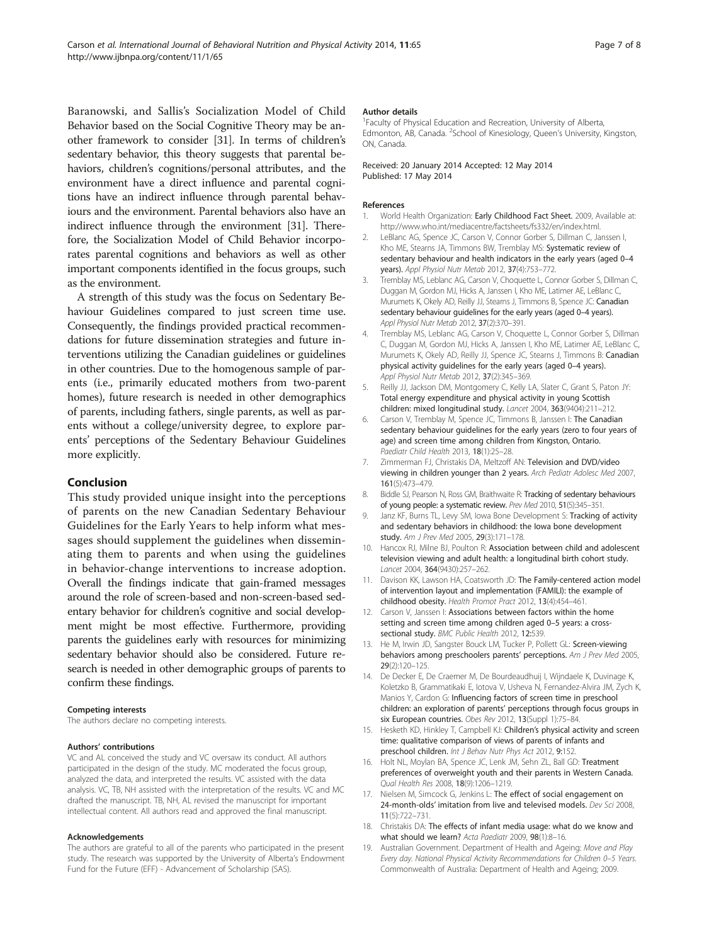<span id="page-6-0"></span>Baranowski, and Sallis's Socialization Model of Child Behavior based on the Social Cognitive Theory may be another framework to consider [\[31\]](#page-7-0). In terms of children's sedentary behavior, this theory suggests that parental behaviors, children's cognitions/personal attributes, and the environment have a direct influence and parental cognitions have an indirect influence through parental behaviours and the environment. Parental behaviors also have an indirect influence through the environment [\[31\]](#page-7-0). Therefore, the Socialization Model of Child Behavior incorporates parental cognitions and behaviors as well as other important components identified in the focus groups, such as the environment.

A strength of this study was the focus on Sedentary Behaviour Guidelines compared to just screen time use. Consequently, the findings provided practical recommendations for future dissemination strategies and future interventions utilizing the Canadian guidelines or guidelines in other countries. Due to the homogenous sample of parents (i.e., primarily educated mothers from two-parent homes), future research is needed in other demographics of parents, including fathers, single parents, as well as parents without a college/university degree, to explore parents' perceptions of the Sedentary Behaviour Guidelines more explicitly.

# Conclusion

This study provided unique insight into the perceptions of parents on the new Canadian Sedentary Behaviour Guidelines for the Early Years to help inform what messages should supplement the guidelines when disseminating them to parents and when using the guidelines in behavior-change interventions to increase adoption. Overall the findings indicate that gain-framed messages around the role of screen-based and non-screen-based sedentary behavior for children's cognitive and social development might be most effective. Furthermore, providing parents the guidelines early with resources for minimizing sedentary behavior should also be considered. Future research is needed in other demographic groups of parents to confirm these findings.

#### Competing interests

The authors declare no competing interests.

#### Authors' contributions

VC and AL conceived the study and VC oversaw its conduct. All authors participated in the design of the study. MC moderated the focus group, analyzed the data, and interpreted the results. VC assisted with the data analysis. VC, TB, NH assisted with the interpretation of the results. VC and MC drafted the manuscript. TB, NH, AL revised the manuscript for important intellectual content. All authors read and approved the final manuscript.

#### Acknowledgements

The authors are grateful to all of the parents who participated in the present study. The research was supported by the University of Alberta's Endowment Fund for the Future (EFF) - Advancement of Scholarship (SAS).

#### Author details

1 Faculty of Physical Education and Recreation, University of Alberta, Edmonton, AB, Canada. <sup>2</sup>School of Kinesiology, Queen's University, Kingston, ON, Canada.

#### Received: 20 January 2014 Accepted: 12 May 2014 Published: 17 May 2014

#### References

- 1. World Health Organization: Early Childhood Fact Sheet. 2009, Available at: [http://www.who.int/mediacentre/factsheets/fs332/en/index.html.](http://www.who.int/mediacentre/factsheets/fs332/en/index.html)
- 2. LeBlanc AG, Spence JC, Carson V, Connor Gorber S, Dillman C, Janssen I. Kho ME, Stearns JA, Timmons BW, Tremblay MS: Systematic review of sedentary behaviour and health indicators in the early years (aged 0–4 years). Appl Physiol Nutr Metab 2012, 37(4):753–772.
- 3. Tremblay MS, Leblanc AG, Carson V, Choquette L, Connor Gorber S, Dillman C, Duggan M, Gordon MJ, Hicks A, Janssen I, Kho ME, Latimer AE, LeBlanc C, Murumets K, Okely AD, Reilly JJ, Stearns J, Timmons B, Spence JC: Canadian sedentary behaviour guidelines for the early years (aged 0–4 years). Appl Physiol Nutr Metab 2012, 37(2):370–391.
- 4. Tremblay MS, Leblanc AG, Carson V, Choquette L, Connor Gorber S, Dillman C, Duggan M, Gordon MJ, Hicks A, Janssen I, Kho ME, Latimer AE, LeBlanc C, Murumets K, Okely AD, Reilly JJ, Spence JC, Stearns J, Timmons B: Canadian physical activity guidelines for the early years (aged 0–4 years). Appl Physiol Nutr Metab 2012, 37(2):345-369.
- 5. Reilly JJ, Jackson DM, Montgomery C, Kelly LA, Slater C, Grant S, Paton JY: Total energy expenditure and physical activity in young Scottish children: mixed longitudinal study. Lancet 2004, 363(9404):211–212.
- 6. Carson V, Tremblay M, Spence JC, Timmons B, Janssen I: The Canadian sedentary behaviour guidelines for the early years (zero to four years of age) and screen time among children from Kingston, Ontario. Paediatr Child Health 2013, 18(1):25–28.
- 7. Zimmerman FJ, Christakis DA, Meltzoff AN: Television and DVD/video viewing in children younger than 2 years. Arch Pediatr Adolesc Med 2007, 161(5):473–479.
- 8. Biddle SJ, Pearson N, Ross GM, Braithwaite R: Tracking of sedentary behaviours of young people: a systematic review. Prev Med 2010, 51(5):345–351.
- 9. Janz KF, Burns TL, Levy SM, Iowa Bone Development S: Tracking of activity and sedentary behaviors in childhood: the Iowa bone development study. Am J Prev Med 2005, 29(3):171–178.
- 10. Hancox RJ, Milne BJ, Poulton R: Association between child and adolescent television viewing and adult health: a longitudinal birth cohort study. Lancet 2004, 364(9430):257–262.
- 11. Davison KK, Lawson HA, Coatsworth JD: The Family-centered action model of intervention layout and implementation (FAMILI): the example of childhood obesity. Health Promot Pract 2012, 13(4):454–461.
- 12. Carson V, Janssen I: Associations between factors within the home setting and screen time among children aged 0–5 years: a crosssectional study. BMC Public Health 2012, 12:539.
- 13. He M, Irwin JD, Sangster Bouck LM, Tucker P, Pollett GL: Screen-viewing behaviors among preschoolers parents' perceptions. Am J Prev Med 2005, 29(2):120–125.
- 14. De Decker E, De Craemer M, De Bourdeaudhuij I, Wijndaele K, Duvinage K, Koletzko B, Grammatikaki E, Iotova V, Usheva N, Fernandez-Alvira JM, Zych K, Manios Y, Cardon G: Influencing factors of screen time in preschool children: an exploration of parents' perceptions through focus groups in six European countries. Obes Rev 2012, 13(Suppl 1):75–84.
- 15. Hesketh KD, Hinkley T, Campbell KJ: Children's physical activity and screen time: qualitative comparison of views of parents of infants and preschool children. Int J Behav Nutr Phys Act 2012, 9:152.
- 16. Holt NL, Moylan BA, Spence JC, Lenk JM, Sehn ZL, Ball GD: Treatment preferences of overweight youth and their parents in Western Canada. Qual Health Res 2008, 18(9):1206–1219.
- 17. Nielsen M, Simcock G, Jenkins L: The effect of social engagement on 24-month-olds' imitation from live and televised models. Dev Sci 2008, 11(5):722–731.
- 18. Christakis DA: The effects of infant media usage: what do we know and what should we learn? Acta Paediatr 2009, 98(1):8–16.
- 19. Australian Government. Department of Health and Ageing: Move and Play Every day. National Physical Activity Recommendations for Children 0–5 Years. Commonwealth of Australia: Department of Health and Ageing; 2009.